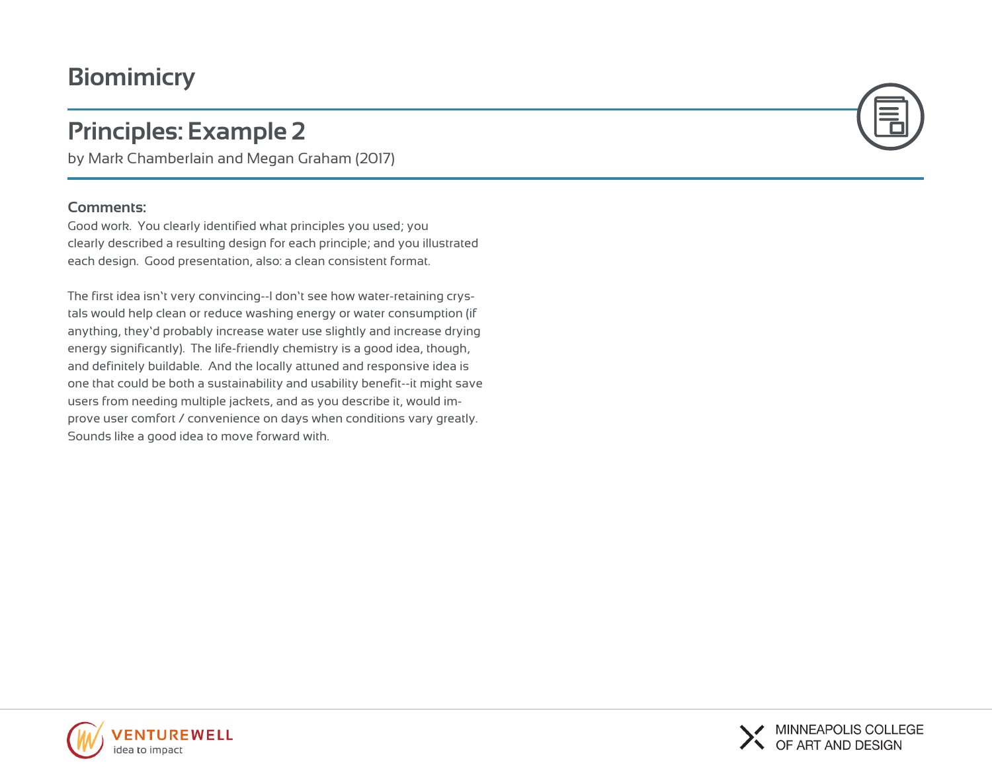# **Biomimicry**

# **Principles: Example 2**

by Mark Chamberlain and Megan Graham (2017)

### **Comments:**

Good work. You clearly identified what principles you used; you clearly described a resulting design for each principle; and you illustrated each design. Good presentation, also: a clean consistent format.

The first idea isn't very convincing--I don't see how water-retaining crystals would help clean or reduce washing energy or water consumption (if anything, they'd probably increase water use slightly and increase drying energy significantly). The life-friendly chemistry is a good idea, though, and definitely buildable. And the locally attuned and responsive idea is one that could be both a sustainability and usability benefit--it might save users from needing multiple jackets, and as you describe it, would improve user comfort / convenience on days when conditions vary greatly. Sounds like a good idea to move forward with.





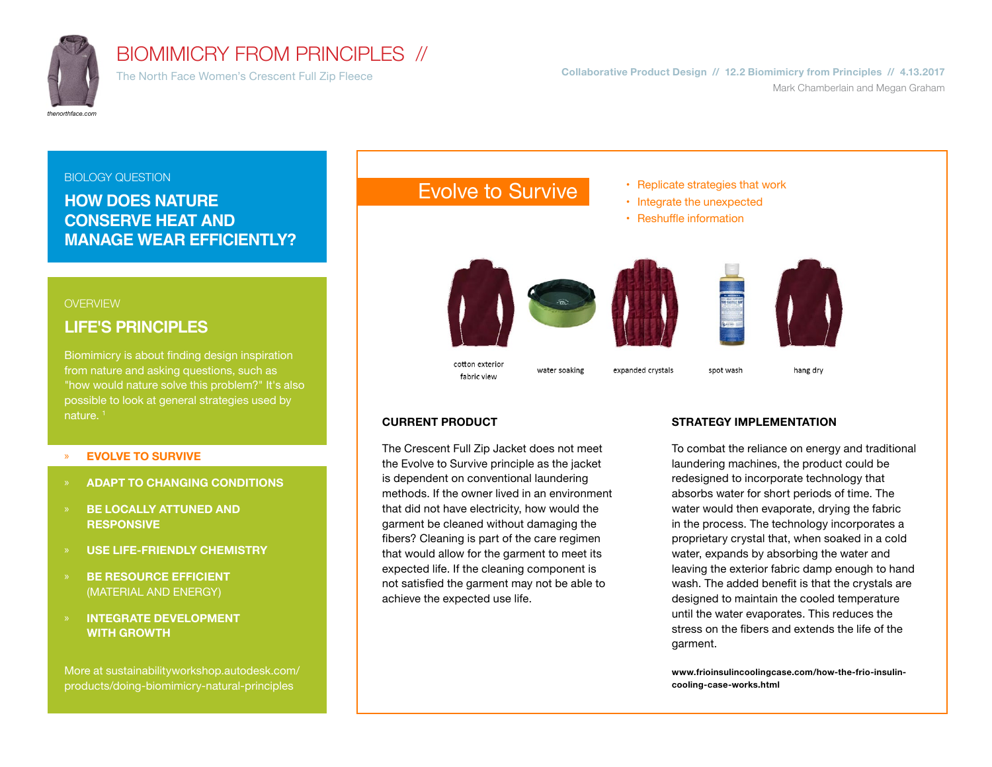

# BIOMIMICRY FROM PRINCIPLES //

The North Face Women's Crescent Full Zip Fleece **Collaborative Product Design // 12.2 Biomimicry from Principles // 4.13.2017** Mark Chamberlain and Megan Graham

#### BIOLOGY QUESTION Evolve to Survive **Replicate strategies that work HOW DOES NATURE**  • Integrate the unexpected **CONSERVE HEAT AND**  • Reshuffle information **MANAGE WEAR EFFICIENTLY? OVERVIEW LIFE'S PRINCIPLES** Biomimicry is about finding design inspiration cotton exterior from nature and asking questions, such as water soaking expanded crystals spot wash hang dry fabric view "how would nature solve this problem?" It's also possible to look at general strategies used by nature.<sup>1</sup> **CURRENT PRODUCT STRATEGY IMPLEMENTATION**

### » **EVOLVE TO SURVIVE**

- » **ADAPT TO CHANGING CONDITIONS**
- » **BE LOCALLY ATTUNED AND RESPONSIVE**
- » **USE LIFE-FRIENDLY CHEMISTRY**
- » **BE RESOURCE EFFICIENT**  (MATERIAL AND ENERGY)
- » **INTEGRATE DEVELOPMENT WITH GROWTH**

More at sustainabilityworkshop.autodesk.com/ products/doing-biomimicry-natural-principles

#### The Crescent Full Zip Jacket does not meet the Evolve to Survive principle as the jacket is dependent on conventional laundering methods. If the owner lived in an environment that did not have electricity, how would the garment be cleaned without damaging the fibers? Cleaning is part of the care regimen that would allow for the garment to meet its expected life. If the cleaning component is not satisfied the garment may not be able to achieve the expected use life.

To combat the reliance on energy and traditional laundering machines, the product could be redesigned to incorporate technology that absorbs water for short periods of time. The water would then evaporate, drying the fabric in the process. The technology incorporates a proprietary crystal that, when soaked in a cold water, expands by absorbing the water and leaving the exterior fabric damp enough to hand wash. The added benefit is that the crystals are designed to maintain the cooled temperature until the water evaporates. This reduces the stress on the fibers and extends the life of the garment.

**www.frioinsulincoolingcase.com/how-the-frio-insulincooling-case-works.html**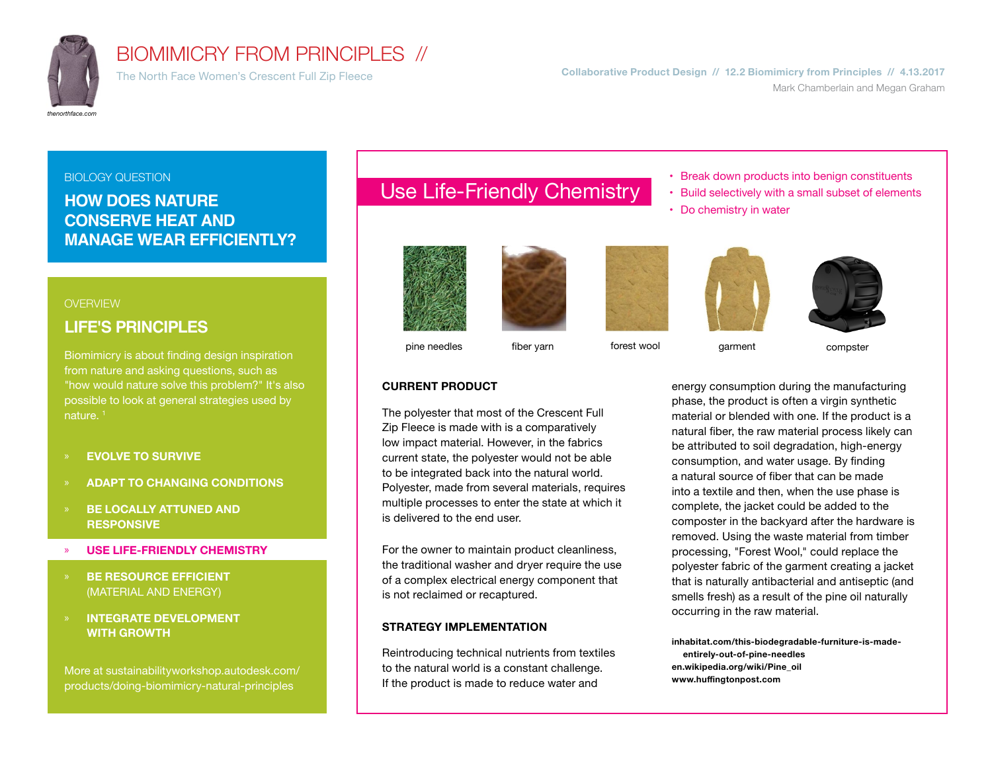

## BIOMIMICRY FROM PRINCIPLES //

#### BIOLOGY QUESTION

## **HOW DOES NATURE CONSERVE HEAT AND MANAGE WEAR EFFICIENTLY?**

#### **OVERVIEW**

## **LIFE'S PRINCIPLES**

Biomimicry is about finding design inspiration from nature and asking questions, such as "how would nature solve this problem?" It's also possible to look at general strategies used by nature.<sup>1</sup>

- » **EVOLVE TO SURVIVE**
- » **ADAPT TO CHANGING CONDITIONS**
- » **BE LOCALLY ATTUNED AND RESPONSIVE**
- » **USE LIFE-FRIENDLY CHEMISTRY**
- » **BE RESOURCE EFFICIENT**  (MATERIAL AND ENERGY)
- » **INTEGRATE DEVELOPMENT WITH GROWTH**

More at sustainabilityworkshop.autodesk.com/ products/doing-biomimicry-natural-principles

# Use Life-Friendly Chemistry **Break down products into benign constituents** Use Life-Friendly Chemistry **Bullet** selectively with a small subset of element











• Build selectively with a small subset of elements

pine needles and fiber yarn forest wool garment compster

**CURRENT PRODUCT**

Do chemistry in water

energy consumption during the manufacturing phase, the product is often a virgin synthetic material or blended with one. If the product is a natural fiber, the raw material process likely can be attributed to soil degradation, high-energy consumption, and water usage. By finding a natural source of fiber that can be made into a textile and then, when the use phase is complete, the jacket could be added to the composter in the backyard after the hardware is removed. Using the waste material from timber processing, "Forest Wool," could replace the polyester fabric of the garment creating a jacket that is naturally antibacterial and antiseptic (and smells fresh) as a result of the pine oil naturally occurring in the raw material.

**inhabitat.com/this-biodegradable-furniture-is-madeentirely-out-of-pine-needles en.wikipedia.org/wiki/Pine\_oil** www.huffingtonpost.com

For the owner to maintain product cleanliness, the traditional washer and dryer require the use of a complex electrical energy component that

#### **STRATEGY IMPLEMENTATION**

is not reclaimed or recaptured.

is delivered to the end user.

Reintroducing technical nutrients from textiles to the natural world is a constant challenge. If the product is made to reduce water and

The polyester that most of the Crescent Full Zip Fleece is made with is a comparatively low impact material. However, in the fabrics current state, the polyester would not be able to be integrated back into the natural world. Polyester, made from several materials, requires multiple processes to enter the state at which it